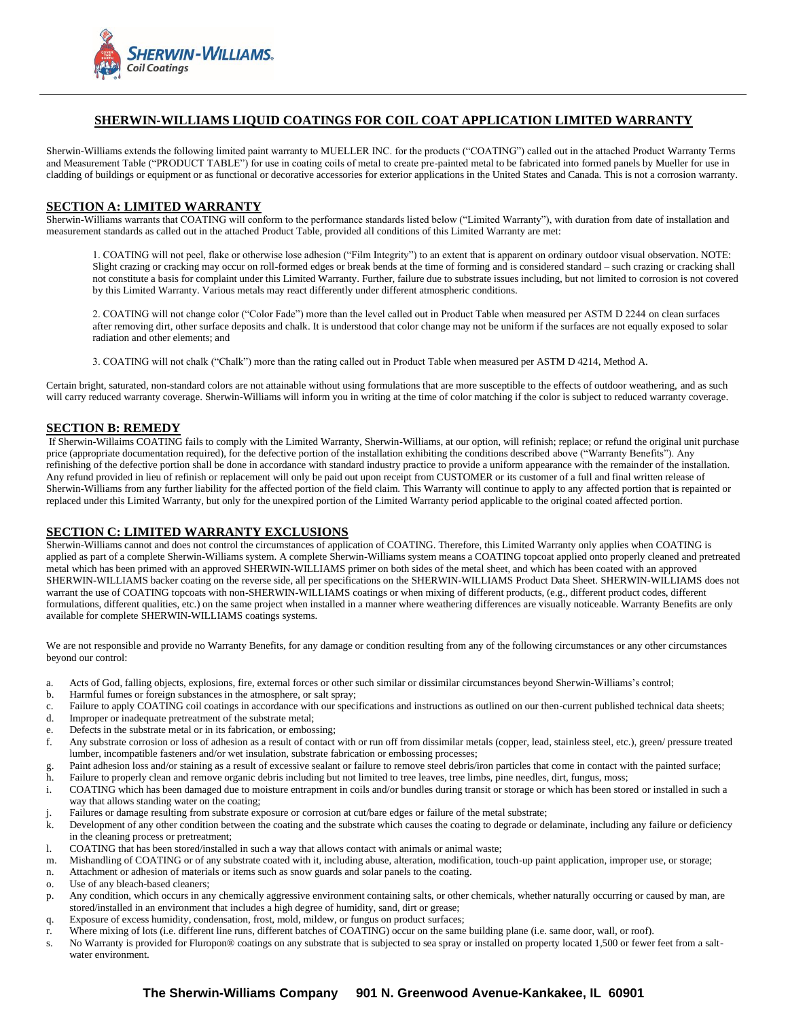

# **SHERWIN-WILLIAMS LIQUID COATINGS FOR COIL COAT APPLICATION LIMITED WARRANTY**

Sherwin-Williams extends the following limited paint warranty to MUELLER INC. for the products ("COATING") called out in the attached Product Warranty Terms and Measurement Table ("PRODUCT TABLE") for use in coating coils of metal to create pre-painted metal to be fabricated into formed panels by Mueller for use in cladding of buildings or equipment or as functional or decorative accessories for exterior applications in the United States and Canada. This is not a corrosion warranty.

#### **SECTION A: LIMITED WARRANTY**

Sherwin-Williams warrants that COATING will conform to the performance standards listed below ("Limited Warranty"), with duration from date of installation and measurement standards as called out in the attached Product Table, provided all conditions of this Limited Warranty are met:

1. COATING will not peel, flake or otherwise lose adhesion ("Film Integrity") to an extent that is apparent on ordinary outdoor visual observation. NOTE: Slight crazing or cracking may occur on roll-formed edges or break bends at the time of forming and is considered standard – such crazing or cracking shall not constitute a basis for complaint under this Limited Warranty. Further, failure due to substrate issues including, but not limited to corrosion is not covered by this Limited Warranty. Various metals may react differently under different atmospheric conditions.

2. COATING will not change color ("Color Fade") more than the level called out in Product Table when measured per ASTM D 2244 on clean surfaces after removing dirt, other surface deposits and chalk. It is understood that color change may not be uniform if the surfaces are not equally exposed to solar radiation and other elements; and

3. COATING will not chalk ("Chalk") more than the rating called out in Product Table when measured per ASTM D 4214, Method A.

Certain bright, saturated, non-standard colors are not attainable without using formulations that are more susceptible to the effects of outdoor weathering, and as such will carry reduced warranty coverage. Sherwin-Williams will inform you in writing at the time of color matching if the color is subject to reduced warranty coverage.

# **SECTION B: REMEDY**

If Sherwin-Willaims COATING fails to comply with the Limited Warranty, Sherwin-Williams, at our option, will refinish; replace; or refund the original unit purchase price (appropriate documentation required), for the defective portion of the installation exhibiting the conditions described above ("Warranty Benefits"). Any refinishing of the defective portion shall be done in accordance with standard industry practice to provide a uniform appearance with the remainder of the installation. Any refund provided in lieu of refinish or replacement will only be paid out upon receipt from CUSTOMER or its customer of a full and final written release of Sherwin-Williams from any further liability for the affected portion of the field claim. This Warranty will continue to apply to any affected portion that is repainted or replaced under this Limited Warranty, but only for the unexpired portion of the Limited Warranty period applicable to the original coated affected portion.

#### **SECTION C: LIMITED WARRANTY EXCLUSIONS**

Sherwin-Williams cannot and does not control the circumstances of application of COATING. Therefore, this Limited Warranty only applies when COATING is applied as part of a complete Sherwin-Williams system. A complete Sherwin-Williams system means a COATING topcoat applied onto properly cleaned and pretreated metal which has been primed with an approved SHERWIN-WILLIAMS primer on both sides of the metal sheet, and which has been coated with an approved SHERWIN-WILLIAMS backer coating on the reverse side, all per specifications on the SHERWIN-WILLIAMS Product Data Sheet. SHERWIN-WILLIAMS does not warrant the use of COATING topcoats with non-SHERWIN-WILLIAMS coatings or when mixing of different products, (e.g., different product codes, different formulations, different qualities, etc.) on the same project when installed in a manner where weathering differences are visually noticeable. Warranty Benefits are only available for complete SHERWIN-WILLIAMS coatings systems.

We are not responsible and provide no Warranty Benefits, for any damage or condition resulting from any of the following circumstances or any other circumstances beyond our control:

- a. Acts of God, falling objects, explosions, fire, external forces or other such similar or dissimilar circumstances beyond Sherwin-Williams's control;
- b. Harmful fumes or foreign substances in the atmosphere, or salt spray;
- c. Failure to apply COATING coil coatings in accordance with our specifications and instructions as outlined on our then-current published technical data sheets;
- d. Improper or inadequate pretreatment of the substrate metal;
- e. Defects in the substrate metal or in its fabrication, or embossing;
- f. Any substrate corrosion or loss of adhesion as a result of contact with or run off from dissimilar metals (copper, lead, stainless steel, etc.), green/ pressure treated lumber, incompatible fasteners and/or wet insulation, substrate fabrication or embossing processes;
- Paint adhesion loss and/or staining as a result of excessive sealant or failure to remove steel debris/iron particles that come in contact with the painted surface;
- h. Failure to properly clean and remove organic debris including but not limited to tree leaves, tree limbs, pine needles, dirt, fungus, moss;
- i. COATING which has been damaged due to moisture entrapment in coils and/or bundles during transit or storage or which has been stored or installed in such a way that allows standing water on the coating;
- Failures or damage resulting from substrate exposure or corrosion at cut/bare edges or failure of the metal substrate;
- k. Development of any other condition between the coating and the substrate which causes the coating to degrade or delaminate, including any failure or deficiency in the cleaning process or pretreatment;
- l. COATING that has been stored/installed in such a way that allows contact with animals or animal waste;
- m. Mishandling of COATING or of any substrate coated with it, including abuse, alteration, modification, touch-up paint application, improper use, or storage;
- n. Attachment or adhesion of materials or items such as snow guards and solar panels to the coating.
- o. Use of any bleach-based cleaners;
- p. Any condition, which occurs in any chemically aggressive environment containing salts, or other chemicals, whether naturally occurring or caused by man, are stored/installed in an environment that includes a high degree of humidity, sand, dirt or grease;
- q. Exposure of excess humidity, condensation, frost, mold, mildew, or fungus on product surfaces;
- r. Where mixing of lots (i.e. different line runs, different batches of COATING) occur on the same building plane (i.e. same door, wall, or roof).
- s. No Warranty is provided for Fluropon® coatings on any substrate that is subjected to sea spray or installed on property located 1,500 or fewer feet from a saltwater environment.

# **The Sherwin-Williams Company 901 N. Greenwood Avenue-Kankakee, IL 60901**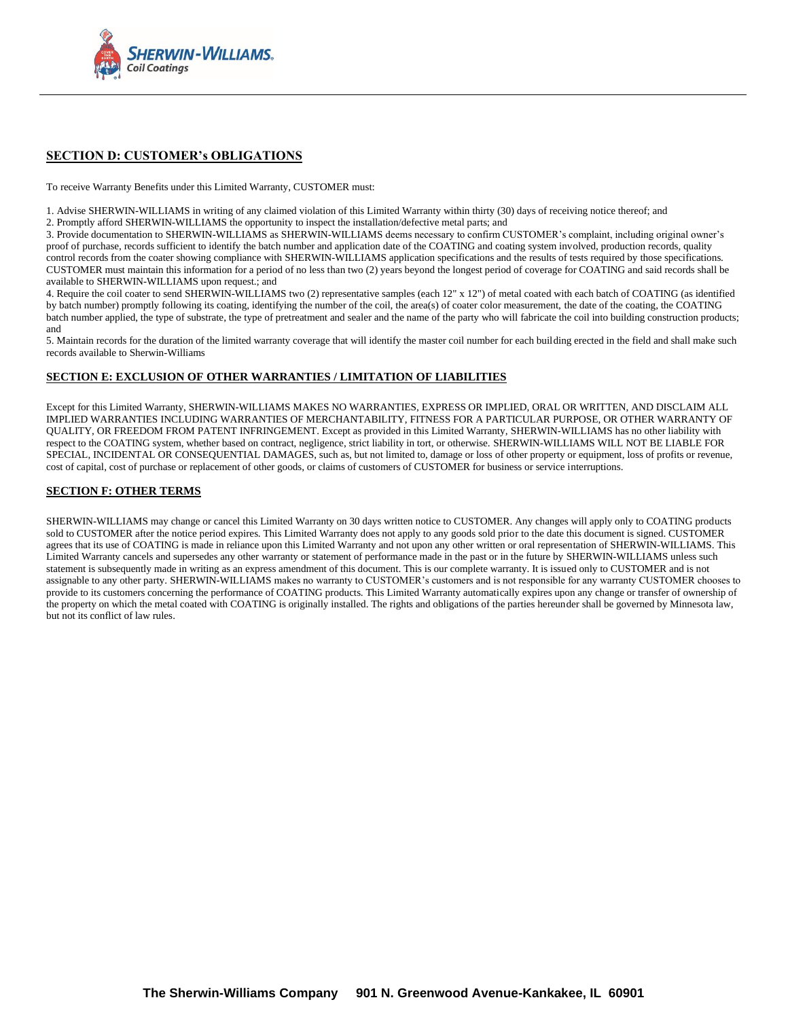

# **SECTION D: CUSTOMER's OBLIGATIONS**

To receive Warranty Benefits under this Limited Warranty, CUSTOMER must:

1. Advise SHERWIN-WILLIAMS in writing of any claimed violation of this Limited Warranty within thirty (30) days of receiving notice thereof; and 2. Promptly afford SHERWIN-WILLIAMS the opportunity to inspect the installation/defective metal parts; and

3. Provide documentation to SHERWIN-WILLIAMS as SHERWIN-WILLIAMS deems necessary to confirm CUSTOMER's complaint, including original owner's proof of purchase, records sufficient to identify the batch number and application date of the COATING and coating system involved, production records, quality control records from the coater showing compliance with SHERWIN-WILLIAMS application specifications and the results of tests required by those specifications. CUSTOMER must maintain this information for a period of no less than two (2) years beyond the longest period of coverage for COATING and said records shall be available to SHERWIN-WILLIAMS upon request.; and

4. Require the coil coater to send SHERWIN-WILLIAMS two (2) representative samples (each 12" x 12") of metal coated with each batch of COATING (as identified by batch number) promptly following its coating, identifying the number of the coil, the area(s) of coater color measurement, the date of the coating, the COATING batch number applied, the type of substrate, the type of pretreatment and sealer and the name of the party who will fabricate the coil into building construction products; and

5. Maintain records for the duration of the limited warranty coverage that will identify the master coil number for each building erected in the field and shall make such records available to Sherwin-Williams

### **SECTION E: EXCLUSION OF OTHER WARRANTIES / LIMITATION OF LIABILITIES**

Except for this Limited Warranty, SHERWIN-WILLIAMS MAKES NO WARRANTIES, EXPRESS OR IMPLIED, ORAL OR WRITTEN, AND DISCLAIM ALL IMPLIED WARRANTIES INCLUDING WARRANTIES OF MERCHANTABILITY, FITNESS FOR A PARTICULAR PURPOSE, OR OTHER WARRANTY OF QUALITY, OR FREEDOM FROM PATENT INFRINGEMENT. Except as provided in this Limited Warranty, SHERWIN-WILLIAMS has no other liability with respect to the COATING system, whether based on contract, negligence, strict liability in tort, or otherwise. SHERWIN-WILLIAMS WILL NOT BE LIABLE FOR SPECIAL, INCIDENTAL OR CONSEQUENTIAL DAMAGES, such as, but not limited to, damage or loss of other property or equipment, loss of profits or revenue, cost of capital, cost of purchase or replacement of other goods, or claims of customers of CUSTOMER for business or service interruptions.

### **SECTION F: OTHER TERMS**

SHERWIN-WILLIAMS may change or cancel this Limited Warranty on 30 days written notice to CUSTOMER. Any changes will apply only to COATING products sold to CUSTOMER after the notice period expires. This Limited Warranty does not apply to any goods sold prior to the date this document is signed. CUSTOMER agrees that its use of COATING is made in reliance upon this Limited Warranty and not upon any other written or oral representation of SHERWIN-WILLIAMS. This Limited Warranty cancels and supersedes any other warranty or statement of performance made in the past or in the future by SHERWIN-WILLIAMS unless such statement is subsequently made in writing as an express amendment of this document. This is our complete warranty. It is issued only to CUSTOMER and is not assignable to any other party. SHERWIN-WILLIAMS makes no warranty to CUSTOMER's customers and is not responsible for any warranty CUSTOMER chooses to provide to its customers concerning the performance of COATING products. This Limited Warranty automatically expires upon any change or transfer of ownership of the property on which the metal coated with COATING is originally installed. The rights and obligations of the parties hereunder shall be governed by Minnesota law, but not its conflict of law rules.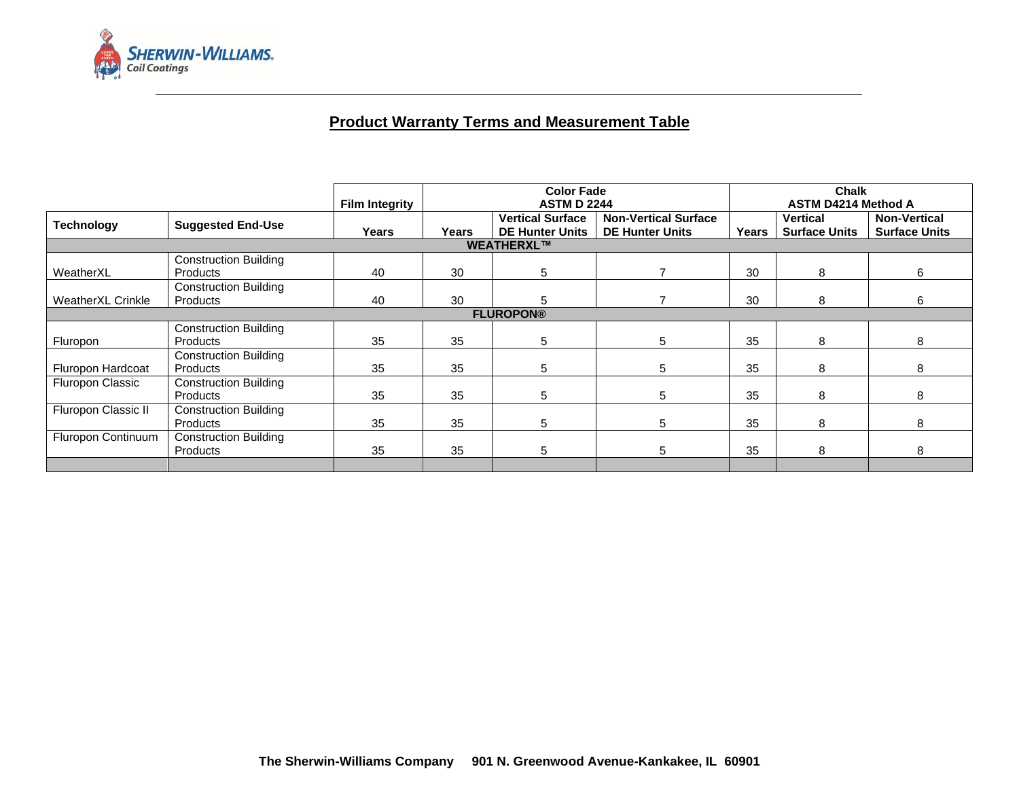

# **Product Warranty Terms and Measurement Table**

|                          |                                                 | <b>Film Integrity</b> | <b>Color Fade</b><br><b>ASTM D 2244</b> |                                                   |                                                       | <b>Chalk</b><br><b>ASTM D4214 Method A</b> |                                  |                                             |
|--------------------------|-------------------------------------------------|-----------------------|-----------------------------------------|---------------------------------------------------|-------------------------------------------------------|--------------------------------------------|----------------------------------|---------------------------------------------|
| <b>Technology</b>        | <b>Suggested End-Use</b>                        | Years                 | <b>Years</b>                            | <b>Vertical Surface</b><br><b>DE Hunter Units</b> | <b>Non-Vertical Surface</b><br><b>DE Hunter Units</b> | Years                                      | Vertical<br><b>Surface Units</b> | <b>Non-Vertical</b><br><b>Surface Units</b> |
| WEATHERXL™               |                                                 |                       |                                         |                                                   |                                                       |                                            |                                  |                                             |
| WeatherXL                | <b>Construction Building</b><br><b>Products</b> | 40                    | 30                                      | 5                                                 |                                                       | 30                                         | 8                                | 6                                           |
| <b>WeatherXL Crinkle</b> | <b>Construction Building</b><br><b>Products</b> | 40                    | 30                                      | 5                                                 |                                                       | 30                                         | 8                                | 6                                           |
| <b>FLUROPON®</b>         |                                                 |                       |                                         |                                                   |                                                       |                                            |                                  |                                             |
| Fluropon                 | <b>Construction Building</b><br><b>Products</b> | 35                    | 35                                      | 5                                                 | 5                                                     | 35                                         | 8                                | 8                                           |
| Fluropon Hardcoat        | <b>Construction Building</b><br><b>Products</b> | 35                    | 35                                      | 5                                                 | 5                                                     | 35                                         | 8                                | 8                                           |
| Fluropon Classic         | <b>Construction Building</b><br>Products        | 35                    | 35                                      | 5                                                 | 5                                                     | 35                                         | 8                                | 8                                           |
| Fluropon Classic II      | <b>Construction Building</b><br>Products        | 35                    | 35                                      | 5                                                 | 5                                                     | 35                                         | 8                                | 8                                           |
| Fluropon Continuum       | <b>Construction Building</b><br><b>Products</b> | 35                    | 35                                      | 5                                                 | 5                                                     | 35                                         | 8                                | 8                                           |
|                          |                                                 |                       |                                         |                                                   |                                                       |                                            |                                  |                                             |